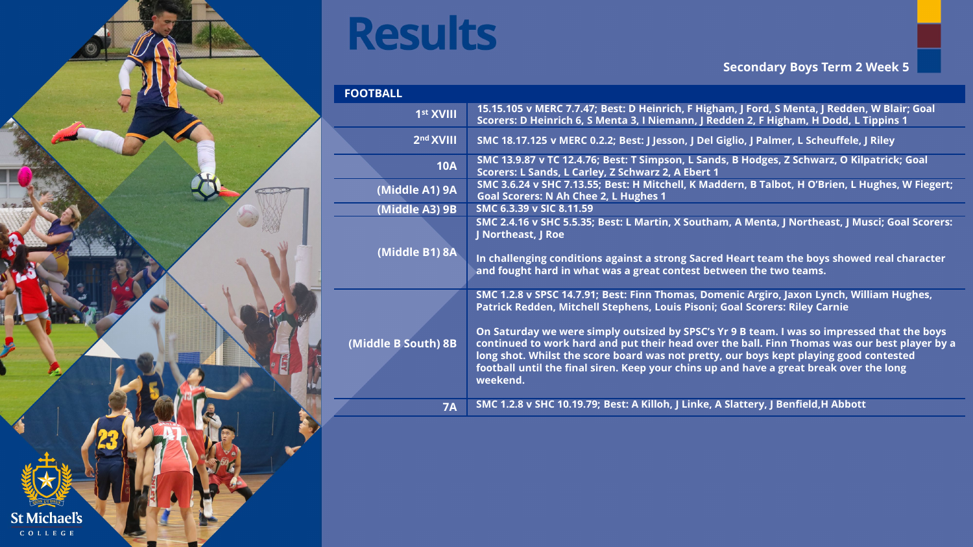

| <b>FOOTBALL</b>       |                                                                                                                                                                                                                                                                                                                                                                                                                                                                                                                                                                           |
|-----------------------|---------------------------------------------------------------------------------------------------------------------------------------------------------------------------------------------------------------------------------------------------------------------------------------------------------------------------------------------------------------------------------------------------------------------------------------------------------------------------------------------------------------------------------------------------------------------------|
| 1 <sup>st</sup> XVIII | 15.15.105 v MERC 7.7.47; Best: D Heinrich, F Higham, J Ford, S Menta, J Redden, W Blair; Goal<br>Scorers: D Heinrich 6, S Menta 3, I Niemann, J Redden 2, F Higham, H Dodd, L Tippins 1                                                                                                                                                                                                                                                                                                                                                                                   |
| 2 <sup>nd</sup> XVIII | SMC 18.17.125 v MERC 0.2.2; Best: J Jesson, J Del Giglio, J Palmer, L Scheuffele, J Riley                                                                                                                                                                                                                                                                                                                                                                                                                                                                                 |
| <b>10A</b>            | SMC 13.9.87 v TC 12.4.76; Best: T Simpson, L Sands, B Hodges, Z Schwarz, O Kilpatrick; Goal<br>Scorers: L Sands, L Carley, Z Schwarz 2, A Ebert 1                                                                                                                                                                                                                                                                                                                                                                                                                         |
| (Middle A1) 9A        | SMC 3.6.24 v SHC 7.13.55; Best: H Mitchell, K Maddern, B Talbot, H O'Brien, L Hughes, W Fiegert;<br><b>Goal Scorers: N Ah Chee 2, L Hughes 1</b>                                                                                                                                                                                                                                                                                                                                                                                                                          |
| (Middle A3) 9B        | SMC 6.3.39 v SIC 8.11.59                                                                                                                                                                                                                                                                                                                                                                                                                                                                                                                                                  |
|                       | SMC 2.4.16 v SHC 5.5.35; Best: L Martin, X Southam, A Menta, J Northeast, J Musci; Goal Scorers:<br>J Northeast, J Roe                                                                                                                                                                                                                                                                                                                                                                                                                                                    |
| (Middle B1) 8A        | In challenging conditions against a strong Sacred Heart team the boys showed real character<br>and fought hard in what was a great contest between the two teams.                                                                                                                                                                                                                                                                                                                                                                                                         |
| (Middle B South) 8B   | SMC 1.2.8 v SPSC 14.7.91; Best: Finn Thomas, Domenic Argiro, Jaxon Lynch, William Hughes,<br>Patrick Redden, Mitchell Stephens, Louis Pisoni; Goal Scorers: Riley Carnie<br>On Saturday we were simply outsized by SPSC's Yr 9 B team. I was so impressed that the boys<br>continued to work hard and put their head over the ball. Finn Thomas was our best player by a<br>long shot. Whilst the score board was not pretty, our boys kept playing good contested<br>football until the final siren. Keep your chins up and have a great break over the long<br>weekend. |
| <b>7A</b>             | SMC 1.2.8 v SHC 10.19.79; Best: A Killoh, J Linke, A Slattery, J Benfield, H Abbott                                                                                                                                                                                                                                                                                                                                                                                                                                                                                       |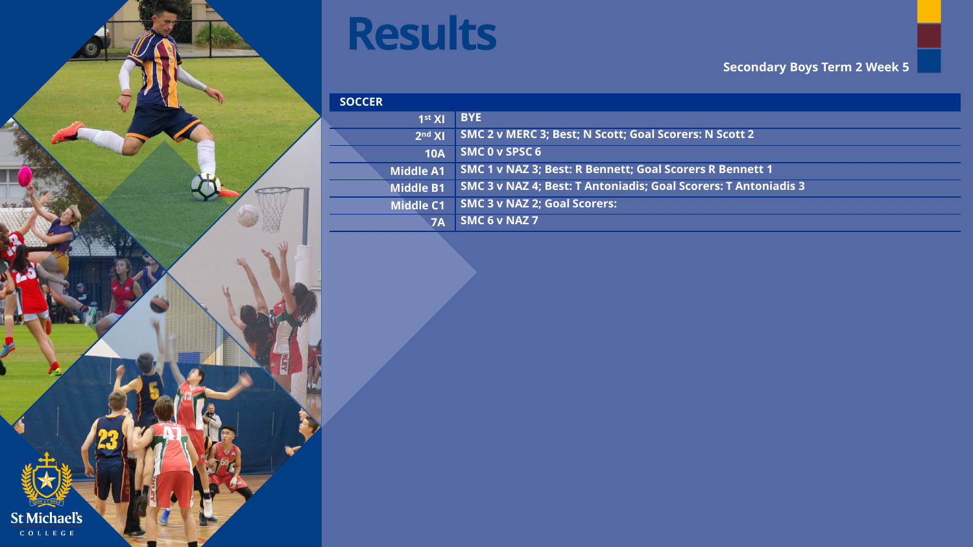

| <b>SOCCER</b>      |                                                                 |
|--------------------|-----------------------------------------------------------------|
| 1 <sup>st</sup> XI | <b>BYE</b>                                                      |
| 2 <sup>nd</sup> XI | SMC 2 v MERC 3; Best; N Scott; Goal Scorers: N Scott 2          |
| <b>10A</b>         | SMC 0 v SPSC 6                                                  |
| <b>Middle A1</b>   | <b>SMC 1 v NAZ 3; Best: R Bennett; Goal Scorers R Bennett 1</b> |
| <b>Middle B1</b>   | SMC 3 v NAZ 4; Best: T Antoniadis; Goal Scorers: T Antoniadis 3 |
| <b>Middle C1</b>   | <b>SMC 3 v NAZ 2; Goal Scorers:</b>                             |
| 7A                 | SMC 6 v NAZ 7                                                   |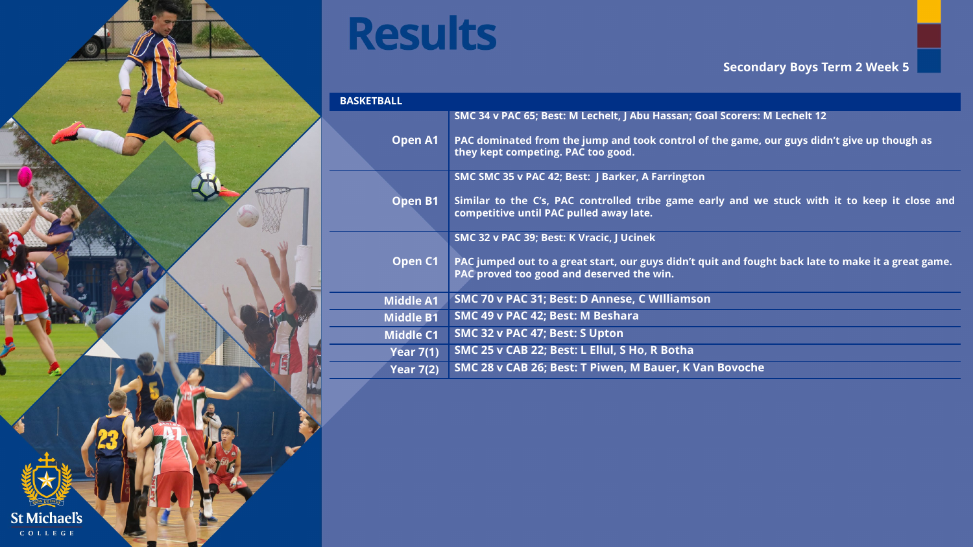

| <b>BASKETBALL</b> |                                                                                                                                                  |  |
|-------------------|--------------------------------------------------------------------------------------------------------------------------------------------------|--|
|                   | SMC 34 v PAC 65; Best: M Lechelt, J Abu Hassan; Goal Scorers: M Lechelt 12                                                                       |  |
| <b>Open A1</b>    | PAC dominated from the jump and took control of the game, our guys didn't give up though as<br>they kept competing. PAC too good.                |  |
|                   | SMC SMC 35 v PAC 42; Best: J Barker, A Farrington                                                                                                |  |
| <b>Open B1</b>    | Similar to the C's, PAC controlled tribe game early and we stuck with it to keep it close and<br>competitive until PAC pulled away late.         |  |
|                   | SMC 32 v PAC 39; Best: K Vracic, J Ucinek                                                                                                        |  |
| Open C1           | PAC jumped out to a great start, our guys didn't quit and fought back late to make it a great game.<br>PAC proved too good and deserved the win. |  |
| <b>Middle A1</b>  | SMC 70 v PAC 31; Best: D Annese, C Williamson                                                                                                    |  |
| <b>Middle B1</b>  | SMC 49 v PAC 42; Best: M Beshara                                                                                                                 |  |
| <b>Middle C1</b>  | SMC 32 v PAC 47; Best: S Upton                                                                                                                   |  |
| <b>Year 7(1)</b>  | SMC 25 v CAB 22; Best: L Ellul, S Ho, R Botha                                                                                                    |  |
| <b>Year 7(2)</b>  | SMC 28 v CAB 26; Best: T Piwen, M Bauer, K Van Bovoche                                                                                           |  |